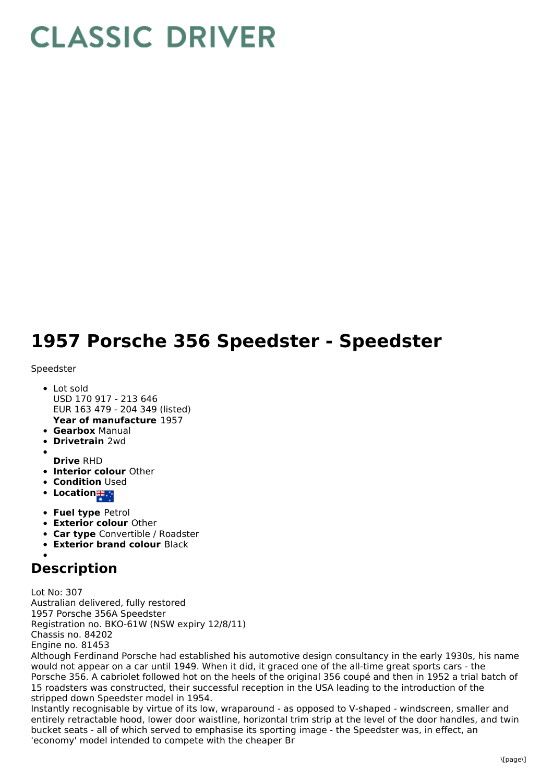## **CLASSIC DRIVER**

## **1957 Porsche 356 Speedster - Speedster**

## Speedster

- **Year of manufacture** 1957 Lot sold USD 170 917 - 213 646 EUR 163 479 - 204 349 (listed)
- **Gearbox** Manual
- **Drivetrain** 2wd
- 
- **Drive** RHD
- **Interior colour** Other
- **Condition Used**
- Location<sub>輩。</sub>
- **Fuel type** Petrol
- **Exterior colour** Other
- **Car type** Convertible / Roadster
- **Exterior brand colour** Black

## **Description**

Lot No: 307 Australian delivered, fully restored 1957 Porsche 356A Speedster Registration no. BKO-61W (NSW expiry 12/8/11) Chassis no. 84202 Engine no. 81453

Although Ferdinand Porsche had established his automotive design consultancy in the early 1930s, his name would not appear on a car until 1949. When it did, it graced one of the all-time great sports cars - the Porsche 356. A cabriolet followed hot on the heels of the original 356 coupé and then in 1952 a trial batch of 15 roadsters was constructed, their successful reception in the USA leading to the introduction of the stripped down Speedster model in 1954.

Instantly recognisable by virtue of its low, wraparound - as opposed to V-shaped - windscreen, smaller and entirely retractable hood, lower door waistline, horizontal trim strip at the level of the door handles, and twin bucket seats - all of which served to emphasise its sporting image - the Speedster was, in effect, an 'economy' model intended to compete with the cheaper Br